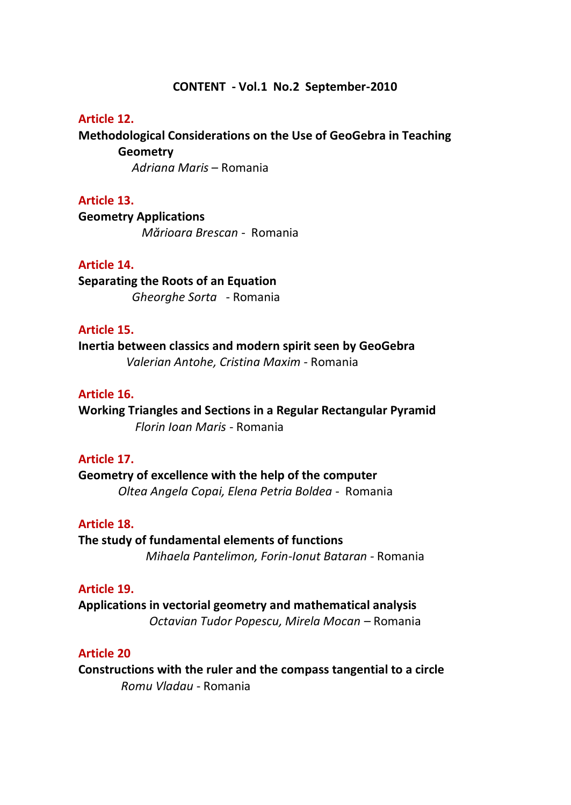#### **CONTENT - Vol.1 No.2 September-2010**

#### **Article 12.**

**Methodological Considerations on the Use of GeoGebra in Teaching Geometry**

 *Adriana Maris* – Romania

#### **Article 13.**

**Geometry Applications** *Mărioara Brescan* - Romania

### **Article 14.**

**Separating the Roots of an Equation**  *Gheorghe Sorta* - Romania

## **Article 15.**

**Inertia between classics and modern spirit seen by GeoGebra**  *Valerian Antohe, Cristina Maxim -* Romania

# **Article 16.**

**Working Triangles and Sections in a Regular Rectangular Pyramid**  *Florin Ioan Maris* - Romania

#### **Article 17.**

**Geometry of excellence with the help of the computer** *Oltea Angela Copai, Elena Petria Boldea* - Romania

#### **Article 18.**

**The study of fundamental elements of functions** 

*Mihaela Pantelimon, Forin-Ionut Bataran -* Romania

# **Article 19.**

**Applications in vectorial geometry and mathematical analysis**  *Octavian Tudor Popescu, Mirela Mocan –* Romania

## **Article 20**

**Constructions with the ruler and the compass tangential to a circle** *Romu Vladau* - Romania